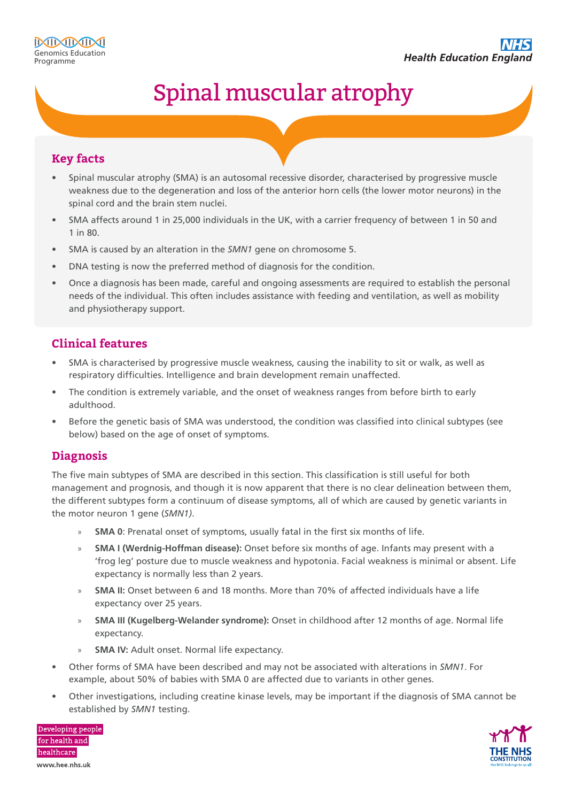# Spinal muscular atrophy

#### **Key facts**

- Spinal muscular atrophy (SMA) is an autosomal recessive disorder, characterised by progressive muscle weakness due to the degeneration and loss of the anterior horn cells (the lower motor neurons) in the spinal cord and the brain stem nuclei.
- SMA affects around 1 in 25,000 individuals in the UK, with a carrier frequency of between 1 in 50 and 1 in 80.
- SMA is caused by an alteration in the *SMN1* gene on chromosome 5.
- DNA testing is now the preferred method of diagnosis for the condition.
- Once a diagnosis has been made, careful and ongoing assessments are required to establish the personal needs of the individual. This often includes assistance with feeding and ventilation, as well as mobility and physiotherapy support.

### **Clinical features**

- SMA is characterised by progressive muscle weakness, causing the inability to sit or walk, as well as respiratory difficulties. Intelligence and brain development remain unaffected.
- The condition is extremely variable, and the onset of weakness ranges from before birth to early adulthood.
- Before the genetic basis of SMA was understood, the condition was classified into clinical subtypes (see below) based on the age of onset of symptoms.

#### **Diagnosis**

The five main subtypes of SMA are described in this section. This classification is still useful for both management and prognosis, and though it is now apparent that there is no clear delineation between them, the different subtypes form a continuum of disease symptoms, all of which are caused by genetic variants in the motor neuron 1 gene (*SMN1)*.

- » **SMA 0**: Prenatal onset of symptoms, usually fatal in the first six months of life.
- » **SMA I (Werdnig-Hoffman disease):** Onset before six months of age. Infants may present with a 'frog leg' posture due to muscle weakness and hypotonia. Facial weakness is minimal or absent. Life expectancy is normally less than 2 years.
- » **SMA II:** Onset between 6 and 18 months. More than 70% of affected individuals have a life expectancy over 25 years.
- » **SMA III (Kugelberg-Welander syndrome):** Onset in childhood after 12 months of age. Normal life expectancy.
- **SMA IV:** Adult onset. Normal life expectancy.
- Other forms of SMA have been described and may not be associated with alterations in *SMN1*. For example, about 50% of babies with SMA 0 are affected due to variants in other genes.
- Other investigations, including creatine kinase levels, may be important if the diagnosis of SMA cannot be established by *SMN1* testing.



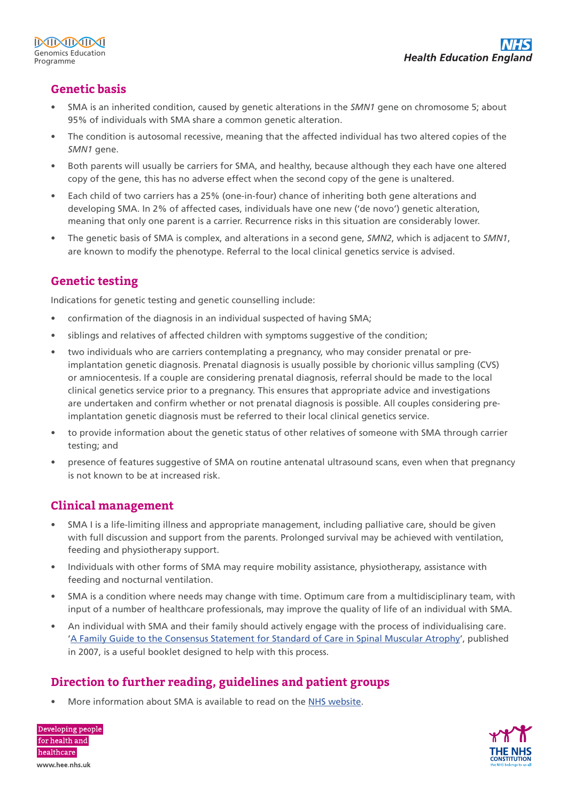# **Genetic basis**

- SMA is an inherited condition, caused by genetic alterations in the *SMN1* gene on chromosome 5; about 95% of individuals with SMA share a common genetic alteration.
- The condition is autosomal recessive, meaning that the affected individual has two altered copies of the *SMN1* gene.
- Both parents will usually be carriers for SMA, and healthy, because although they each have one altered copy of the gene, this has no adverse effect when the second copy of the gene is unaltered.
- Each child of two carriers has a 25% (one-in-four) chance of inheriting both gene alterations and developing SMA. In 2% of affected cases, individuals have one new ('de novo') genetic alteration, meaning that only one parent is a carrier. Recurrence risks in this situation are considerably lower.
- The genetic basis of SMA is complex, and alterations in a second gene, *SMN2*, which is adjacent to *SMN1*, are known to modify the phenotype. Referral to the local clinical genetics service is advised.

# **Genetic testing**

Indications for genetic testing and genetic counselling include:

- confirmation of the diagnosis in an individual suspected of having SMA;
- siblings and relatives of affected children with symptoms suggestive of the condition;
- two individuals who are carriers contemplating a pregnancy, who may consider prenatal or preimplantation genetic diagnosis. Prenatal diagnosis is usually possible by chorionic villus sampling (CVS) or amniocentesis. If a couple are considering prenatal diagnosis, referral should be made to the local clinical genetics service prior to a pregnancy. This ensures that appropriate advice and investigations are undertaken and confirm whether or not prenatal diagnosis is possible. All couples considering preimplantation genetic diagnosis must be referred to their local clinical genetics service.
- to provide information about the genetic status of other relatives of someone with SMA through carrier testing; and
- presence of features suggestive of SMA on routine antenatal ultrasound scans, even when that pregnancy is not known to be at increased risk.

## **Clinical management**

- SMA I is a life-limiting illness and appropriate management, including palliative care, should be given with full discussion and support from the parents. Prolonged survival may be achieved with ventilation, feeding and physiotherapy support.
- Individuals with other forms of SMA may require mobility assistance, physiotherapy, assistance with feeding and nocturnal ventilation.
- SMA is a condition where needs may change with time. Optimum care from a multidisciplinary team, with input of a number of healthcare professionals, may improve the quality of life of an individual with SMA.
- An individual with SMA and their family should actively engage with the process of individualising care. ['A Family Guide to the Consensus Statement for Standard of Care in Spinal Muscular Atrophy](https://www.mda.org/sites/default/files/publications/SMA_Family_Guide_Care_Standards.pdf)', published in 2007, is a useful booklet designed to help with this process.

## **Direction to further reading, guidelines and patient groups**

• More information about SMA is available to read on the [NHS website](https://www.nhs.uk/conditions/spinal-muscular-atrophy-sma/).